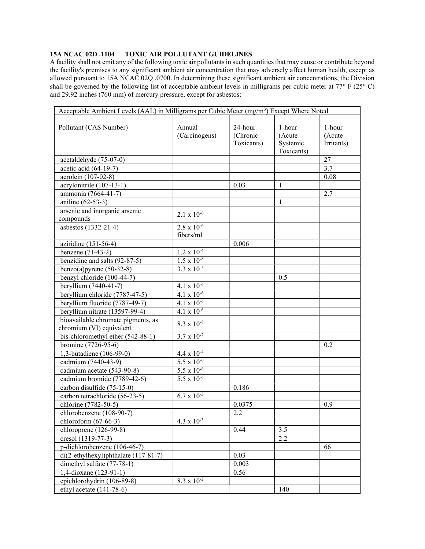## 15A NCAC 02D .1104 TOXIC AIR POLLUTANT GUIDELINES

A facility shall not emit any of the following toxic air pollutants in such quantities that may cause or contribute beyond the facility's premises to any significant ambient air concentration that may adversely affect human health, except as allowed pursuant to 15A NCAC 02Q .0700. In determining these significant ambient air concentrations, the Division shall be governed by the following list of acceptable ambient levels in milligrams per cubic meter at  $77^{\circ}$  F (25° C) and 29.92 inches (760 mm) of mercury pressure, except for asbestos:

| Acceptable Ambient Levels (AAL) in Milligrams per Cubic Meter $(mg/m3)$ Except Where Noted |                                 |                                   |                                            |                                |  |
|--------------------------------------------------------------------------------------------|---------------------------------|-----------------------------------|--------------------------------------------|--------------------------------|--|
| Pollutant (CAS Number)                                                                     | Annual<br>(Carcinogens)         | 24-hour<br>(Chronic<br>Toxicants) | 1-hour<br>(Acute<br>Systemic<br>Toxicants) | 1-hour<br>(Acute<br>Irritants) |  |
| acetaldehyde (75-07-0)                                                                     |                                 |                                   |                                            | 27                             |  |
| acetic acid (64-19-7)                                                                      |                                 |                                   |                                            | 3.7                            |  |
| acrolein (107-02-8)                                                                        |                                 |                                   |                                            | 0.08                           |  |
| acrylonitrile (107-13-1)                                                                   |                                 | 0.03                              | 1                                          |                                |  |
| ammonia (7664-41-7)                                                                        |                                 |                                   |                                            | 2.7                            |  |
| aniline (62-53-3)                                                                          |                                 |                                   | 1                                          |                                |  |
| arsenic and inorganic arsenic                                                              | $2.1 \times 10^{-6}$            |                                   |                                            |                                |  |
| compounds                                                                                  |                                 |                                   |                                            |                                |  |
| asbestos (1332-21-4)                                                                       | $2.8 \times 10^{-6}$            |                                   |                                            |                                |  |
|                                                                                            | fibers/ml                       |                                   |                                            |                                |  |
| aziridine (151-56-4)                                                                       |                                 | 0.006                             |                                            |                                |  |
| benzene (71-43-2)                                                                          | $1.2 \times 10^{-4}$            |                                   |                                            |                                |  |
| benzidine and salts (92-87-5)                                                              | $1.5 \times 10^{-8}$            |                                   |                                            |                                |  |
| benzo(a) pyrene $(50-32-8)$                                                                | $3.3 \times 10^{-5}$            |                                   |                                            |                                |  |
| benzyl chloride (100-44-7)                                                                 |                                 |                                   | 0.5                                        |                                |  |
| beryllium (7440-41-7)                                                                      | $4.1 \times 10^{-6}$            |                                   |                                            |                                |  |
| beryllium chloride (7787-47-5)                                                             | $4.1 \times 10^{-6}$            |                                   |                                            |                                |  |
| beryllium fluoride (7787-49-7)                                                             | $4.1 \times 10^{-6}$            |                                   |                                            |                                |  |
| beryllium nitrate (13597-99-4)                                                             | $4.1 \times 10^{-6}$            |                                   |                                            |                                |  |
| bioavailable chromate pigments, as                                                         | $8.3 \times 10^{-8}$            |                                   |                                            |                                |  |
| chromium (VI) equivalent                                                                   |                                 |                                   |                                            |                                |  |
| bis-chloromethyl ether (542-88-1)                                                          | $3.7 \times 10^{-7}$            |                                   |                                            |                                |  |
| bromine (7726-95-6)                                                                        |                                 |                                   |                                            | 0.2                            |  |
| 1,3-butadiene (106-99-0)                                                                   | $4.4 \times 10^{-4}$            |                                   |                                            |                                |  |
| cadmium (7440-43-9)                                                                        | $\frac{1}{5.5 \times 10^{-6}}$  |                                   |                                            |                                |  |
| cadmium acetate (543-90-8)                                                                 | $\overline{5.5 \times 10^{-6}}$ |                                   |                                            |                                |  |
| cadmium bromide (7789-42-6)                                                                | $5.5 \times 10^{-6}$            |                                   |                                            |                                |  |
| carbon disulfide (75-15-0)                                                                 |                                 | 0.186                             |                                            |                                |  |
| carbon tetrachloride (56-23-5)                                                             | $6.7 \times 10^{-3}$            |                                   |                                            |                                |  |
| chlorine (7782-50-5)                                                                       |                                 | 0.0375                            |                                            | 0.9                            |  |
| chlorobenzene (108-90-7)                                                                   |                                 | $2.\overline{2}$                  |                                            |                                |  |
| chloroform $(67-66-3)$                                                                     | $4.3 \times 10^{-3}$            |                                   |                                            |                                |  |
| chloroprene (126-99-8)                                                                     |                                 | 0.44                              | 3.5                                        |                                |  |
| cresol (1319-77-3)                                                                         |                                 |                                   | 2.2                                        |                                |  |
| p-dichlorobenzene (106-46-7)                                                               |                                 |                                   |                                            | 66                             |  |
| di(2-ethylhexyl)phthalate (117-81-7)                                                       |                                 | 0.03                              |                                            |                                |  |
| dimethyl sulfate (77-78-1)                                                                 |                                 | 0.003                             |                                            |                                |  |
| 1,4-dioxane (123-91-1)                                                                     |                                 | 0.56                              |                                            |                                |  |
| epichlorohydrin (106-89-8)                                                                 | $8.3 \times 10^{-2}$            |                                   |                                            |                                |  |
| ethyl acetate (141-78-6)                                                                   |                                 |                                   | 140                                        |                                |  |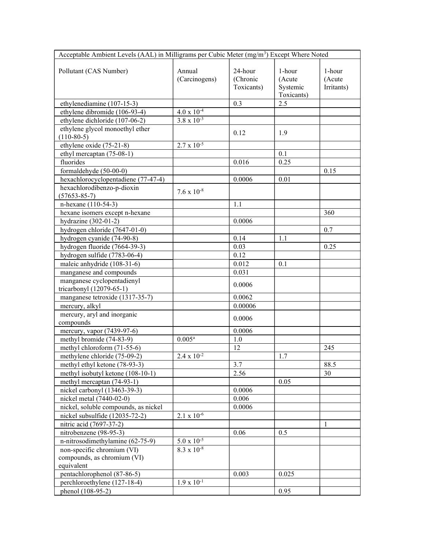| Acceptable Ambient Levels (AAL) in Milligrams per Cubic Meter (mg/m <sup>3</sup> ) Except Where Noted |                      |            |            |            |  |
|-------------------------------------------------------------------------------------------------------|----------------------|------------|------------|------------|--|
|                                                                                                       |                      |            |            |            |  |
| Pollutant (CAS Number)                                                                                | Annual               | 24-hour    | 1-hour     | 1-hour     |  |
|                                                                                                       | (Carcinogens)        | (Chronic   | (Acute     | (Acute     |  |
|                                                                                                       |                      | Toxicants) | Systemic   | Irritants) |  |
|                                                                                                       |                      |            | Toxicants) |            |  |
| ethylenediamine (107-15-3)                                                                            |                      | 0.3        | 2.5        |            |  |
| ethylene dibromide (106-93-4)                                                                         | $4.0 \times 10^{-4}$ |            |            |            |  |
| ethylene dichloride (107-06-2)                                                                        | $3.8 \times 10^{-3}$ |            |            |            |  |
| ethylene glycol monoethyl ether                                                                       |                      |            |            |            |  |
| $(110-80-5)$                                                                                          |                      | 0.12       | 1.9        |            |  |
| ethylene oxide (75-21-8)                                                                              | $2.7 \times 10^{-5}$ |            |            |            |  |
| ethyl mercaptan (75-08-1)                                                                             |                      |            | 0.1        |            |  |
| fluorides                                                                                             |                      | 0.016      | 0.25       |            |  |
| formaldehyde (50-00-0)                                                                                |                      |            |            | 0.15       |  |
| hexachlorocyclopentadiene (77-47-4)                                                                   |                      | 0.0006     | 0.01       |            |  |
| hexachlorodibenzo-p-dioxin                                                                            |                      |            |            |            |  |
| $(57653 - 85 - 7)$                                                                                    | $7.6 \times 10^{-8}$ |            |            |            |  |
| n-hexane (110-54-3)                                                                                   |                      | 1.1        |            |            |  |
| hexane isomers except n-hexane                                                                        |                      |            |            | 360        |  |
| hydrazine $(302-01-2)$                                                                                |                      | 0.0006     |            |            |  |
| hydrogen chloride (7647-01-0)                                                                         |                      |            |            | 0.7        |  |
| hydrogen cyanide (74-90-8)                                                                            |                      | 0.14       | 1.1        |            |  |
|                                                                                                       |                      |            |            |            |  |
| hydrogen fluoride (7664-39-3)                                                                         |                      | 0.03       |            | 0.25       |  |
| hydrogen sulfide (7783-06-4)                                                                          |                      | 0.12       |            |            |  |
| maleic anhydride (108-31-6)                                                                           |                      | 0.012      | 0.1        |            |  |
| manganese and compounds                                                                               |                      | 0.031      |            |            |  |
| manganese cyclopentadienyl                                                                            |                      | 0.0006     |            |            |  |
| tricarbonyl (12079-65-1)                                                                              |                      |            |            |            |  |
| manganese tetroxide (1317-35-7)                                                                       |                      | 0.0062     |            |            |  |
| mercury, alkyl                                                                                        |                      | 0.00006    |            |            |  |
| mercury, aryl and inorganic                                                                           |                      | 0.0006     |            |            |  |
| compounds                                                                                             |                      |            |            |            |  |
| mercury, vapor (7439-97-6)                                                                            |                      | 0.0006     |            |            |  |
| methyl bromide (74-83-9)                                                                              | $0.005^{\rm a}$      | 1.0        |            |            |  |
| methyl chloroform (71-55-6)                                                                           |                      | 12         |            | 245        |  |
| methylene chloride (75-09-2)                                                                          | $2.4 \times 10^{-2}$ |            | 1.7        |            |  |
| methyl ethyl ketone (78-93-3)                                                                         |                      | 3.7        |            | 88.5       |  |
| methyl isobutyl ketone (108-10-1)                                                                     |                      | 2.56       |            | 30         |  |
| methyl mercaptan (74-93-1)                                                                            |                      |            | 0.05       |            |  |
| nickel carbonyl (13463-39-3)                                                                          |                      | 0.0006     |            |            |  |
| nickel metal (7440-02-0)                                                                              |                      | 0.006      |            |            |  |
| nickel, soluble compounds, as nickel                                                                  |                      | 0.0006     |            |            |  |
| nickel subsulfide (12035-72-2)                                                                        | $2.1 \times 10^{-6}$ |            |            |            |  |
| nitric acid (7697-37-2)                                                                               |                      |            |            | 1          |  |
| nitrobenzene (98-95-3)                                                                                |                      | 0.06       | 0.5        |            |  |
| n-nitrosodimethylamine (62-75-9)                                                                      | $5.0 \times 10^{-5}$ |            |            |            |  |
| non-specific chromium (VI)                                                                            | $8.3 \times 10^{-8}$ |            |            |            |  |
| compounds, as chromium (VI)                                                                           |                      |            |            |            |  |
| equivalent                                                                                            |                      |            |            |            |  |
| pentachlorophenol (87-86-5)                                                                           |                      | 0.003      | 0.025      |            |  |
| perchloroethylene (127-18-4)                                                                          | $1.9 \times 10^{-1}$ |            |            |            |  |
| phenol (108-95-2)                                                                                     |                      |            | 0.95       |            |  |
|                                                                                                       |                      |            |            |            |  |